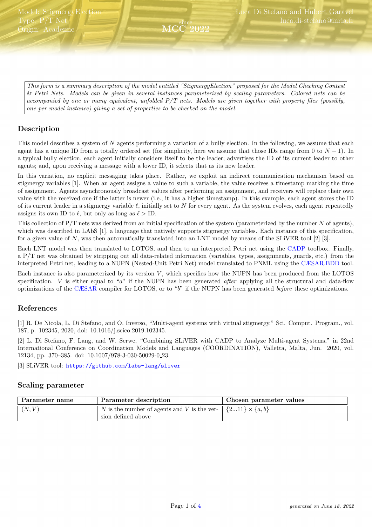<span id="page-0-0"></span>This form is a summary description of the model entitled "StigmergyElection" proposed for the Model Checking Contest @ Petri Nets. Models can be given in several instances parameterized by scaling parameters. Colored nets can be accompanied by one or many equivalent, unfolded P/T nets. Models are given together with property files (possibly, one per model instance) giving a set of properties to be checked on the model.

since MCC 2022

# Description

This model describes a system of  $N$  agents performing a variation of a bully election. In the following, we assume that each agent has a unique ID from a totally ordered set (for simplicity, here we assume that those IDs range from 0 to  $N-1$ ). In a typical bully election, each agent initially considers itself to be the leader; advertises the ID of its current leader to other agents; and, upon receiving a message with a lower ID, it selects that as its new leader.

In this variation, no explicit messaging takes place. Rather, we exploit an indirect communication mechanism based on stigmergy variables [1]. When an agent assigns a value to such a variable, the value receives a timestamp marking the time of assignment. Agents asynchronously broadcast values after performing an assignment, and receivers will replace their own value with the received one if the latter is newer (i.e., it has a higher timestamp). In this example, each agent stores the ID of its current leader in a stigmergy variable  $\ell$ , initially set to N for every agent. As the system evolves, each agent repeatedly assigns its own ID to  $\ell$ , but only as long as  $\ell >$  ID.

This collection of  $P/T$  nets was derived from an initial specification of the system (parameterized by the number  $N$  of agents), which was described in LAbS [1], a language that natively supports stigmergy variables. Each instance of this specification, for a given value of N, was then automatically translated into an LNT model by means of the SLiVER tool [2] [3].

Each LNT model was then translated to LOTOS, and then to an interpreted Petri net using the [CADP](http://cadp.inria.fr) toolbox. Finally, a P/T net was obtained by stripping out all data-related information (variables, types, assignments, guards, etc.) from the interpreted Petri net, leading to a NUPN (Nested-Unit Petri Net) model translated to PNML using the [CÆSAR.BDD](http://cadp.inria.fr/man/caesar.bdd.html) tool.

Each instance is also parameterized by its version  $V$ , which specifies how the NUPN has been produced from the LOTOS specification.  $V$  is either equal to "a" if the NUPN has been generated *after* applying all the structural and data-flow optimizations of the [CÆSAR](http://cadp.inria.fr/man/caesar.html) compiler for LOTOS, or to "b" if the NUPN has been generated before these optimizations.

# References

[1] R. De Nicola, L. Di Stefano, and O. Inverso, "Multi-agent systems with virtual stigmergy," Sci. Comput. Program., vol. 187, p. 102345, 2020, doi: 10.1016/j.scico.2019.102345.

[2] L. Di Stefano, F. Lang, and W. Serwe, "Combining SLiVER with CADP to Analyze Multi-agent Systems," in 22nd International Conference on Coordination Models and Languages (COORDINATION), Valletta, Malta, Jun. 2020, vol. 12134, pp. 370–385. doi: 10.1007/978-3-030-50029-0 23.

[3] SLiVER tool: <https://github.com/labs-lang/sliver>

# Scaling parameter

| Parameter name     | Parameter description                       | Chosen parameter values  |
|--------------------|---------------------------------------------|--------------------------|
| $\overline{(N,V)}$ | N is the number of agents and V is the ver- | $\{211\} \times \{a,b\}$ |
|                    | sion defined above                          |                          |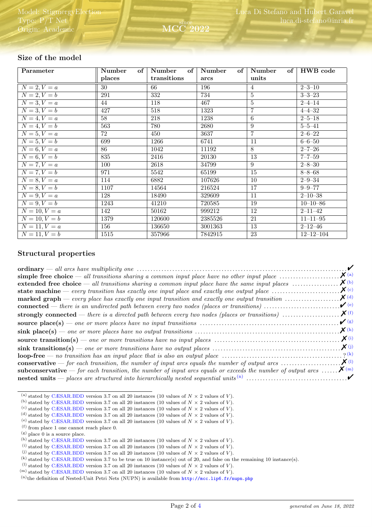| Parameter             | Number<br>of | Number<br>of | Number<br>of <sub>1</sub> | Number         | of $\vert$ HWB code |
|-----------------------|--------------|--------------|---------------------------|----------------|---------------------|
|                       | places       | transitions  | arcs                      | units          |                     |
| $N = 2, V = a$        | 30           | 66           | 196                       | 4              | $2 - 3 - 10$        |
| $N = 2, V = b$        | 291          | 332          | 734                       | $\overline{5}$ | $3 - 3 - 23$        |
| $N = 3, V = a$        | 44           | 118          | 467                       | $\overline{5}$ | $2 - 4 - 14$        |
| $N = 3, V = b$        | 427          | 518          | 1323                      | $\overline{7}$ | $4 - 4 - 32$        |
| $N=4, V=a$            | 58           | 218          | 1238                      | $\overline{6}$ | $2 - 5 - 18$        |
| $N=4, V=b$            | 563          | 780          | 2680                      | $\overline{9}$ | $5 - 5 - 41$        |
| $N = 5, V = a$        | 72           | 450          | 3637                      | $\overline{7}$ | $2 - 6 - 22$        |
| $N = 5, V = b$        | 699          | 1266         | 6741                      | 11             | $6 - 6 - 50$        |
| $N=6, V=a$            | 86           | 1042         | 11192                     | 8              | $2 - 7 - 26$        |
| $N = 6, V = b$        | 835          | 2416         | 20130                     | 13             | $7 - 7 - 59$        |
| $N = 7, V = a$        | 100          | 2618         | 34799                     | 9              | $2 - 8 - 30$        |
| $N=7, V=b$            | 971          | 5542         | 65199                     | 15             | $8 - 8 - 68$        |
| $N = 8, V = a$        | 114          | 6882         | 107626                    | 10             | $2 - 9 - 34$        |
| $N=8, V=b$            | 1107         | 14564        | 216524                    | 17             | $9 - 9 - 77$        |
| $\overline{N=9}, V=a$ | 128          | 18490        | 329609                    | 11             | $2 - 10 - 38$       |
| $N = 9, V = b$        | 1243         | 41210        | 720585                    | 19             | $10 - 10 - 86$      |
| $N = 10, V = a$       | 142          | 50162        | 999212                    | 12             | $2 - 11 - 42$       |
| $N = 10, V = b$       | 1379         | 120600       | 2385526                   | 21             | $11 - 11 - 95$      |
| $N = 11, V = a$       | 156          | 136650       | 3001363                   | 13             | $2 - 12 - 46$       |
| $N=11, V=b$           | 1515         | 357966       | 7842915                   | 23             | $12 - 12 - 104$     |

since MCC 2022

# Size of the model

### Structural properties

|                                                                                                                                                     | $\mathcal{V}$        |  |
|-----------------------------------------------------------------------------------------------------------------------------------------------------|----------------------|--|
|                                                                                                                                                     | $\boldsymbol{X}$ (a) |  |
| extended free choice $-$ all transitions sharing a common input place have the same input places $\dots\dots\dots\dots\dots$                        | $\boldsymbol{X}$ (b) |  |
| state machine — every transition has exactly one input place and exactly one output place $\dots\dots\dots\dots\dots\dots$                          | $\chi$ (c)           |  |
| <b>marked graph</b> — every place has exactly one input transition and exactly one output transition $\ldots \ldots \ldots \ldots \mathbf{X}^{(d)}$ |                      |  |
| <b>connected</b> — there is an undirected path between every two nodes (places or transitions) $\dots\dots\dots\dots\dots\dots\dots$                | $\mathcal{V}(e)$     |  |
|                                                                                                                                                     |                      |  |
|                                                                                                                                                     | $\mathcal{V}(g)$     |  |
|                                                                                                                                                     | $\chi$ (h)           |  |
|                                                                                                                                                     | $\boldsymbol{X}$ (i) |  |
|                                                                                                                                                     | $\boldsymbol{X}(j)$  |  |
|                                                                                                                                                     |                      |  |
|                                                                                                                                                     |                      |  |
| <b>subconservative</b> — for each transition, the number of input arcs equals or exceeds the number of output arcs $\mathbf{X}^{(m)}$               |                      |  |
|                                                                                                                                                     |                      |  |

<span id="page-1-0"></span><sup>(</sup>a) stated by [CÆSAR.BDD](http://cadp.inria.fr/man/caesar.bdd.html) version 3.7 on all 20 instances (10 values of  $N \times 2$  values of  $V$ ).

<span id="page-1-1"></span><sup>(</sup>b) stated by [CÆSAR.BDD](http://cadp.inria.fr/man/caesar.bdd.html) version 3.7 on all 20 instances (10 values of  $N \times 2$  values of  $V$ ).

<span id="page-1-2"></span><sup>(</sup>c) stated by [CÆSAR.BDD](http://cadp.inria.fr/man/caesar.bdd.html) version 3.7 on all 20 instances (10 values of  $N \times 2$  values of V).

<span id="page-1-3"></span><sup>(</sup>d) stated by [CÆSAR.BDD](http://cadp.inria.fr/man/caesar.bdd.html) version 3.7 on all 20 instances (10 values of  $N \times 2$  values of V).

<span id="page-1-4"></span><sup>(</sup>e) stated by [CÆSAR.BDD](http://cadp.inria.fr/man/caesar.bdd.html) version 3.7 on all 20 instances (10 values of  $N \times 2$  values of V).

<span id="page-1-5"></span> $^{\rm (f)}$  from place 1 one cannot reach place 0.  $(s)$  place 0 is a source place.

<span id="page-1-7"></span><span id="page-1-6"></span>

<sup>(</sup>h) stated by [CÆSAR.BDD](http://cadp.inria.fr/man/caesar.bdd.html) version 3.7 on all 20 instances (10 values of  $N \times 2$  values of V).

<span id="page-1-8"></span><sup>(</sup>i) stated by [CÆSAR.BDD](http://cadp.inria.fr/man/caesar.bdd.html) version 3.7 on all 20 instances (10 values of  $N \times 2$  values of V).

<span id="page-1-9"></span><sup>(</sup>i) stated by [CÆSAR.BDD](http://cadp.inria.fr/man/caesar.bdd.html) version 3.7 on all 20 instances (10 values of  $N \times 2$  values of V).

<span id="page-1-10"></span><sup>(</sup>k) stated by [CÆSAR.BDD](http://cadp.inria.fr/man/caesar.bdd.html) version 3.7 to be true on 10 instance(s) out of 20, and false on the remaining 10 instance(s).

<span id="page-1-11"></span><sup>(1)</sup> stated by [CÆSAR.BDD](http://cadp.inria.fr/man/caesar.bdd.html) version 3.7 on all 20 instances (10 values of  $N \times 2$  values of V).

<span id="page-1-12"></span><sup>&</sup>lt;sup>(m)</sup> stated by [CÆSAR.BDD](http://cadp.inria.fr/man/caesar.bdd.html) version 3.7 on all 20 instances (10 values of  $N \times 2$  values of V).

<span id="page-1-13"></span> $(n)$ the definition of Nested-Unit Petri Nets (NUPN) is available from <http://mcc.lip6.fr/nupn.php>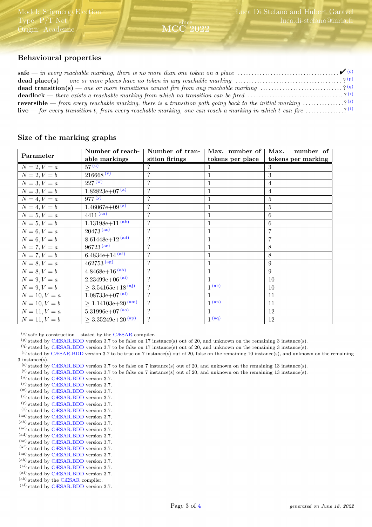# Behavioural properties

| <b>dead place(s)</b> — one or more places have no token in any reachable marking $\ldots \ldots \ldots \ldots \ldots \ldots \ldots \ldots \ldots$ ? (p) |  |
|---------------------------------------------------------------------------------------------------------------------------------------------------------|--|
| <b>dead transition(s)</b> — one or more transitions cannot fire from any reachable marking ? (9)                                                        |  |
| <b>deadlock</b> — there exists a reachable marking from which no transition can be fired ? (r)                                                          |  |
| <b>reversible</b> — from every reachable marking, there is a transition path going back to the initial marking $\ldots \ldots \ldots$ (s)               |  |
| <b>live</b> — for every transition t, from every reachable marking, one can reach a marking in which t can fire $\ldots \ldots \ldots$ (t)              |  |

since

2022

#### Size of the marking graphs

|                 | Number of reach-              | Number of tran-          | Max. number of      | Max.<br>number of  |
|-----------------|-------------------------------|--------------------------|---------------------|--------------------|
| Parameter       | able markings                 | sition firings           | tokens per place    | tokens per marking |
| $N = 2, V = a$  | $57^{\overline{u}}$           | ?                        |                     | 3                  |
| $N = 2, V = b$  | 216668 (v)                    | $\overline{\mathcal{L}}$ | 1                   | 3                  |
| $N=3, V=a$      | $227^{(w)}$                   | $\ddot{?}$               | 1                   | $\overline{4}$     |
| $N = 3, V = b$  | $1.82823e+07^{(x)}$           | $\ddot{?}$               | 1                   | 4                  |
| $N = 4, V = a$  | $977^{(y)}$                   | $\overline{?}$           | $\mathbf{1}$        | $\overline{5}$     |
| $N = 4, V = b$  | $1.46067e+09^{(z)}$           | $\overline{?}$           | 1                   | 5                  |
| $N = 5, V = a$  | $4411^{(aa)}$                 | $\ddot{?}$               | $\mathbf{1}$        | 6                  |
| $N = 5, V = b$  | $1.13198e+11^{(ab)}$          | $\gamma$                 | $\mathbf{1}$        | 6                  |
| $N = 6, V = a$  | $20473^{\,(ac)}$              | $\ddot{?}$               | 1                   | 7                  |
| $N = 6, V = b$  | $8.61448e+12^{(ad)}$          | $\overline{\mathcal{L}}$ |                     | $\overline{7}$     |
| $N = 7, V = a$  | $96723^{(ae)}$                | $\overline{?}$           | $\mathbf{1}$        | 8                  |
| $N = 7, V = b$  | 6.4834e+14 $(af)$             | $\ddot{?}$               | $\mathbf{1}$        | 8                  |
| $N = 8, V = a$  | $462753^{(ag)}$               | $\overline{\mathcal{L}}$ | $\mathbf{1}$        | 9                  |
| $N = 8, V = b$  | $4.8468e+16^{(ah)}$           | $\gamma$                 | 1                   | 9                  |
| $N = 9, V = a$  | $2.23499e+06$ <sup>(ai)</sup> | $\gamma$                 | $\mathbf{1}$        | 10                 |
| $N = 9, V = b$  | $\geq 3.54165e+18^{(aj)}$     | $\overline{\mathcal{L}}$ | $\overline{1}$ (ak) | 10                 |
| $N = 10, V = a$ | $1.08733e+07^{(al)}$          | $\gamma$                 | 1                   | 11                 |
| $N = 10, V = b$ | $\geq 1.14103e+20^{(am)}$     | $\overline{\mathcal{L}}$ | $1$ (an)            | 11                 |
| $N = 11, V = a$ | $5.31996e+07^{(ao)}$          | $\gamma$                 |                     | 12                 |
| $N = 11, V = b$ | $> 3.35249e+20^{(ap)}$        | $\gamma$                 | 1 <sup>(aq)</sup>   | 12                 |

<span id="page-2-0"></span> $(0)$  safe by construction – stated by the [CÆSAR](http://cadp.inria.fr/man/caesar.html) compiler.

<span id="page-2-5"></span> $^{(t)}$  stated by [CÆSAR.BDD](http://cadp.inria.fr/man/caesar.bdd.html) version 3.7 to be false on 7 instance(s) out of 20, and unknown on the remaining 13 instance(s).

<span id="page-2-6"></span>(u) stated by [CÆSAR.BDD](http://cadp.inria.fr/man/caesar.bdd.html) version 3.7.

(v) stated by [CÆSAR.BDD](http://cadp.inria.fr/man/caesar.bdd.html) version 3.7.

- (w) stated by [CÆSAR.BDD](http://cadp.inria.fr/man/caesar.bdd.html) version 3.7.
- (x) stated by [CÆSAR.BDD](http://cadp.inria.fr/man/caesar.bdd.html) version 3.7.
- (y) stated by [CÆSAR.BDD](http://cadp.inria.fr/man/caesar.bdd.html) version 3.7.
- $^{\rm (z)}$  stated by [CÆSAR.BDD](http://cadp.inria.fr/man/caesar.bdd.html) version 3.7.
- (aa) stated by [CÆSAR.BDD](http://cadp.inria.fr/man/caesar.bdd.html) version 3.7.
- (ab) stated by [CÆSAR.BDD](http://cadp.inria.fr/man/caesar.bdd.html) version 3.7.
- (ac) stated by [CÆSAR.BDD](http://cadp.inria.fr/man/caesar.bdd.html) version 3.7. (ad) stated by [CÆSAR.BDD](http://cadp.inria.fr/man/caesar.bdd.html) version 3.7.
- (ae) stated by [CÆSAR.BDD](http://cadp.inria.fr/man/caesar.bdd.html) version 3.7.
- (af) stated by [CÆSAR.BDD](http://cadp.inria.fr/man/caesar.bdd.html) version 3.7.
- (ag) stated by [CÆSAR.BDD](http://cadp.inria.fr/man/caesar.bdd.html) version 3.7.
- (ah) stated by [CÆSAR.BDD](http://cadp.inria.fr/man/caesar.bdd.html) version 3.7.
- (ai) stated by [CÆSAR.BDD](http://cadp.inria.fr/man/caesar.bdd.html) version 3.7.
- (aj) stated by [CÆSAR.BDD](http://cadp.inria.fr/man/caesar.bdd.html) version 3.7.
- $\left( \mathrm{ak}\right)$  stated by the [CÆSAR](http://cadp.inria.fr/man/caesar.html) compiler.
- (al) stated by [CÆSAR.BDD](http://cadp.inria.fr/man/caesar.bdd.html) version 3.7.

<span id="page-2-1"></span> $(p)$  stated by [CÆSAR.BDD](http://cadp.inria.fr/man/caesar.bdd.html) version 3.7 to be false on 17 instance(s) out of 20, and unknown on the remaining 3 instance(s).

<span id="page-2-3"></span><span id="page-2-2"></span><sup>(</sup>q) stated by [CÆSAR.BDD](http://cadp.inria.fr/man/caesar.bdd.html) version 3.7 to be false on 17 instance(s) out of 20, and unknown on the remaining 3 instance(s).

 $<sup>(r)</sup>$  stated by [CÆSAR.BDD](http://cadp.inria.fr/man/caesar.bdd.html) version 3.7 to be true on 7 instance(s) out of 20, false on the remaining 10 instance(s), and unknown on the remaining</sup> 3 instance(s).

<span id="page-2-4"></span><sup>(</sup>s) stated by [CÆSAR.BDD](http://cadp.inria.fr/man/caesar.bdd.html) version 3.7 to be false on 7 instance(s) out of 20, and unknown on the remaining 13 instance(s).